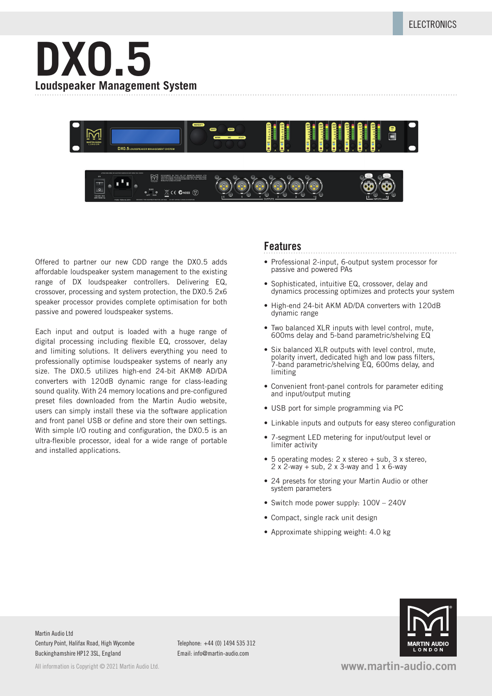



Offered to partner our new CDD range the DX0.5 adds affordable loudspeaker system management to the existing range of DX loudspeaker controllers. Delivering EQ, crossover, processing and system protection, the DX0.5 2x6 speaker processor provides complete optimisation for both passive and powered loudspeaker systems.

Each input and output is loaded with a huge range of digital processing including flexible EQ, crossover, delay and limiting solutions. It delivers everything you need to professionally optimise loudspeaker systems of nearly any size. The DX0.5 utilizes high-end 24-bit AKM® AD/DA converters with 120dB dynamic range for class-leading sound quality. With 24 memory locations and pre-configured preset files downloaded from the Martin Audio website, users can simply install these via the software application and front panel USB or define and store their own settings. With simple I/O routing and configuration, the DX0.5 is an ultra-flexible processor, ideal for a wide range of portable and installed applications.

## **Features**

- Professional 2-input, 6-output system processor for passive and powered PAs
- Sophisticated, intuitive EQ, crossover, delay and dynamics processing optimizes and protects your system
- High-end 24-bit AKM AD/DA converters with 120dB dynamic range
- Two balanced XLR inputs with level control, mute, 600ms delay and 5-band parametric/shelving EQ
- Six balanced XLR outputs with level control, mute, polarity invert, dedicated high and low pass filters, 7-band parametric/shelving EQ, 600ms delay, and limiting
- Convenient front-panel controls for parameter editing and input/output muting
- USB port for simple programming via PC
- Linkable inputs and outputs for easy stereo configuration
- 7-segment LED metering for input/output level or limiter activity
- 5 operating modes: 2 x stereo + sub, 3 x stereo,  $2 \times 2$ -way + sub,  $2 \times 3$ -way and  $1 \times 6$ -way
- 24 presets for storing your Martin Audio or other system parameters
- Switch mode power supply: 100V 240V
- Compact, single rack unit design
- Approximate shipping weight: 4.0 kg



Martin Audio Ltd Century Point, Halifax Road, High Wycombe Buckinghamshire HP12 3SL, England

All information is Convright © 2021 Martin Audio Ltd.

Telephone: +44 (0) 1494 535 312 Email: info@martin-audio.com

**www.martin-audio.com**